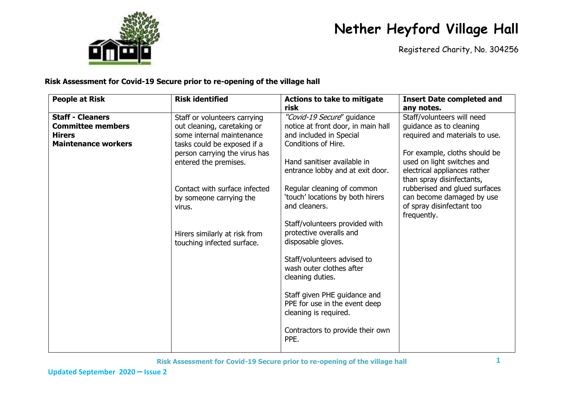

Registered Charity, No. 304256

| <b>People at Risk</b>                                                                              | <b>Risk identified</b>                                                                                                                                                                                                                                                                                                 | <b>Actions to take to mitigate</b>                                                                                                                                                                                                                                                                                                                                                                                                                                                                                                                                               | <b>Insert Date completed and</b>                                                                                                                                                                                                                                                                                                            |
|----------------------------------------------------------------------------------------------------|------------------------------------------------------------------------------------------------------------------------------------------------------------------------------------------------------------------------------------------------------------------------------------------------------------------------|----------------------------------------------------------------------------------------------------------------------------------------------------------------------------------------------------------------------------------------------------------------------------------------------------------------------------------------------------------------------------------------------------------------------------------------------------------------------------------------------------------------------------------------------------------------------------------|---------------------------------------------------------------------------------------------------------------------------------------------------------------------------------------------------------------------------------------------------------------------------------------------------------------------------------------------|
| <b>Staff - Cleaners</b><br><b>Committee members</b><br><b>Hirers</b><br><b>Maintenance workers</b> | Staff or volunteers carrying<br>out cleaning, caretaking or<br>some internal maintenance<br>tasks could be exposed if a<br>person carrying the virus has<br>entered the premises.<br>Contact with surface infected<br>by someone carrying the<br>virus.<br>Hirers similarly at risk from<br>touching infected surface. | risk<br>"Covid-19 Secure" guidance<br>notice at front door, in main hall<br>and included in Special<br>Conditions of Hire.<br>Hand sanitiser available in<br>entrance lobby and at exit door.<br>Regular cleaning of common<br>'touch' locations by both hirers<br>and cleaners.<br>Staff/volunteers provided with<br>protective overalls and<br>disposable gloves.<br>Staff/volunteers advised to<br>wash outer clothes after<br>cleaning duties.<br>Staff given PHE guidance and<br>PPE for use in the event deep<br>cleaning is required.<br>Contractors to provide their own | any notes.<br>Staff/volunteers will need<br>guidance as to cleaning<br>required and materials to use.<br>For example, cloths should be<br>used on light switches and<br>electrical appliances rather<br>than spray disinfectants,<br>rubberised and glued surfaces<br>can become damaged by use<br>of spray disinfectant too<br>frequently. |
|                                                                                                    |                                                                                                                                                                                                                                                                                                                        | PPE.                                                                                                                                                                                                                                                                                                                                                                                                                                                                                                                                                                             |                                                                                                                                                                                                                                                                                                                                             |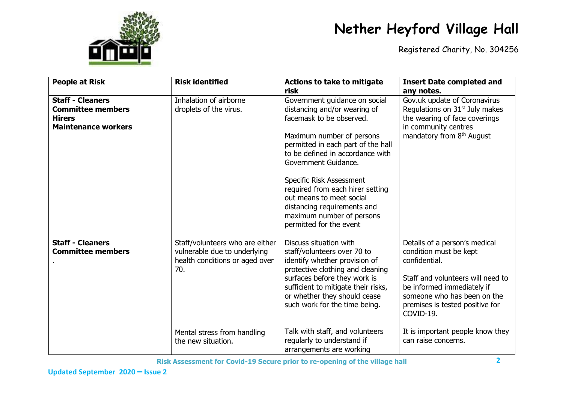

Registered Charity, No. 304256

| <b>People at Risk</b>                                                                              | <b>Risk identified</b>                                                                                                                                        | <b>Actions to take to mitigate</b><br>risk                                                                                                                                                                                                                                                                                                                                                                  | <b>Insert Date completed and</b><br>any notes.                                                                                                                                                                                                                                        |
|----------------------------------------------------------------------------------------------------|---------------------------------------------------------------------------------------------------------------------------------------------------------------|-------------------------------------------------------------------------------------------------------------------------------------------------------------------------------------------------------------------------------------------------------------------------------------------------------------------------------------------------------------------------------------------------------------|---------------------------------------------------------------------------------------------------------------------------------------------------------------------------------------------------------------------------------------------------------------------------------------|
| <b>Staff - Cleaners</b><br><b>Committee members</b><br><b>Hirers</b><br><b>Maintenance workers</b> | Inhalation of airborne<br>droplets of the virus.                                                                                                              | Government guidance on social<br>distancing and/or wearing of<br>facemask to be observed.<br>Maximum number of persons<br>permitted in each part of the hall<br>to be defined in accordance with<br>Government Guidance.<br>Specific Risk Assessment<br>required from each hirer setting<br>out means to meet social<br>distancing requirements and<br>maximum number of persons<br>permitted for the event | Gov.uk update of Coronavirus<br>Regulations on 31 <sup>st</sup> July makes<br>the wearing of face coverings<br>in community centres<br>mandatory from 8 <sup>th</sup> August                                                                                                          |
| <b>Staff - Cleaners</b><br><b>Committee members</b>                                                | Staff/volunteers who are either<br>vulnerable due to underlying<br>health conditions or aged over<br>70.<br>Mental stress from handling<br>the new situation. | Discuss situation with<br>staff/volunteers over 70 to<br>identify whether provision of<br>protective clothing and cleaning<br>surfaces before they work is<br>sufficient to mitigate their risks,<br>or whether they should cease<br>such work for the time being.<br>Talk with staff, and volunteers<br>regularly to understand if                                                                         | Details of a person's medical<br>condition must be kept<br>confidential.<br>Staff and volunteers will need to<br>be informed immediately if<br>someone who has been on the<br>premises is tested positive for<br>COVID-19.<br>It is important people know they<br>can raise concerns. |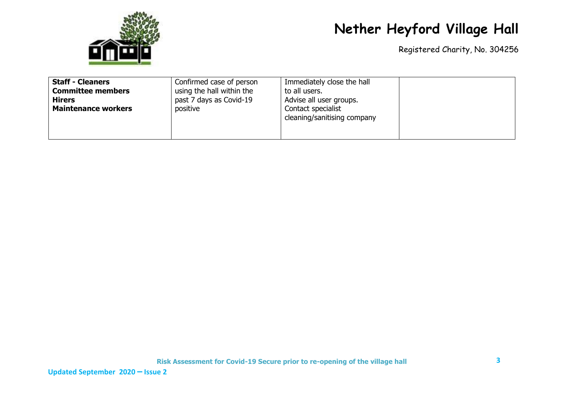

Registered Charity, No. 304256

| <b>Staff - Cleaners</b><br>Confirmed case of person<br><b>Committee members</b><br>using the hall within the<br>past 7 days as Covid-19<br><b>Hirers</b><br><b>Maintenance workers</b><br>positive | Immediately close the hall<br>to all users.<br>Advise all user groups.<br>Contact specialist<br>cleaning/sanitising company |  |
|----------------------------------------------------------------------------------------------------------------------------------------------------------------------------------------------------|-----------------------------------------------------------------------------------------------------------------------------|--|
|----------------------------------------------------------------------------------------------------------------------------------------------------------------------------------------------------|-----------------------------------------------------------------------------------------------------------------------------|--|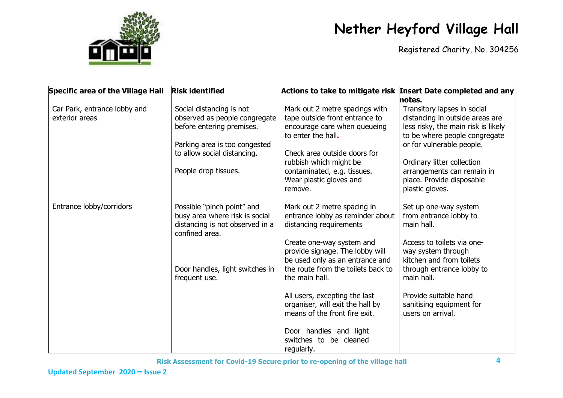

Registered Charity, No. 304256

| <b>Specific area of the Village Hall</b>       | <b>Risk identified</b>                                                                                                                                 | Actions to take to mitigate risk Insert Date completed and any                                                                                          |                                                                                                                                                                     |
|------------------------------------------------|--------------------------------------------------------------------------------------------------------------------------------------------------------|---------------------------------------------------------------------------------------------------------------------------------------------------------|---------------------------------------------------------------------------------------------------------------------------------------------------------------------|
|                                                |                                                                                                                                                        |                                                                                                                                                         | notes.                                                                                                                                                              |
| Car Park, entrance lobby and<br>exterior areas | Social distancing is not<br>observed as people congregate<br>before entering premises.<br>Parking area is too congested<br>to allow social distancing. | Mark out 2 metre spacings with<br>tape outside front entrance to<br>encourage care when queueing<br>to enter the hall.<br>Check area outside doors for  | Transitory lapses in social<br>distancing in outside areas are<br>less risky, the main risk is likely<br>to be where people congregate<br>or for vulnerable people. |
|                                                |                                                                                                                                                        | rubbish which might be                                                                                                                                  | Ordinary litter collection                                                                                                                                          |
|                                                | People drop tissues.                                                                                                                                   | contaminated, e.g. tissues.<br>Wear plastic gloves and<br>remove.                                                                                       | arrangements can remain in<br>place. Provide disposable<br>plastic gloves.                                                                                          |
| Entrance lobby/corridors                       | Possible "pinch point" and<br>busy area where risk is social<br>distancing is not observed in a<br>confined area.                                      | Mark out 2 metre spacing in<br>entrance lobby as reminder about<br>distancing requirements                                                              | Set up one-way system<br>from entrance lobby to<br>main hall.                                                                                                       |
|                                                | Door handles, light switches in<br>frequent use.                                                                                                       | Create one-way system and<br>provide signage. The lobby will<br>be used only as an entrance and<br>the route from the toilets back to<br>the main hall. | Access to toilets via one-<br>way system through<br>kitchen and from toilets<br>through entrance lobby to<br>main hall.                                             |
|                                                |                                                                                                                                                        | All users, excepting the last<br>organiser, will exit the hall by<br>means of the front fire exit.                                                      | Provide suitable hand<br>sanitising equipment for<br>users on arrival.                                                                                              |
|                                                |                                                                                                                                                        | Door handles and light<br>switches to be cleaned<br>regularly.                                                                                          |                                                                                                                                                                     |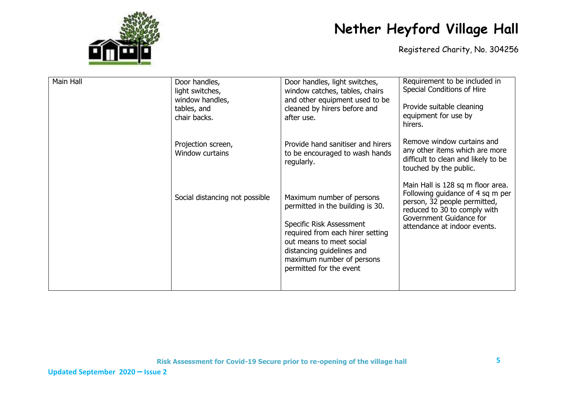

| Main Hall | Door handles,<br>light switches,<br>window handles,<br>tables, and<br>chair backs. | Door handles, light switches,<br>window catches, tables, chairs<br>and other equipment used to be<br>cleaned by hirers before and<br>after use.                                                                                                | Requirement to be included in<br>Special Conditions of Hire<br>Provide suitable cleaning<br>equipment for use by<br>hirers.                                                                      |
|-----------|------------------------------------------------------------------------------------|------------------------------------------------------------------------------------------------------------------------------------------------------------------------------------------------------------------------------------------------|--------------------------------------------------------------------------------------------------------------------------------------------------------------------------------------------------|
|           | Projection screen,<br>Window curtains                                              | Provide hand sanitiser and hirers<br>to be encouraged to wash hands<br>regularly.                                                                                                                                                              | Remove window curtains and<br>any other items which are more<br>difficult to clean and likely to be<br>touched by the public.                                                                    |
|           | Social distancing not possible                                                     | Maximum number of persons<br>permitted in the building is 30.<br>Specific Risk Assessment<br>required from each hirer setting<br>out means to meet social<br>distancing guidelines and<br>maximum number of persons<br>permitted for the event | Main Hall is 128 sq m floor area.<br>Following guidance of 4 sq m per<br>person, 32 people permitted,<br>reduced to 30 to comply with<br>Government Guidance for<br>attendance at indoor events. |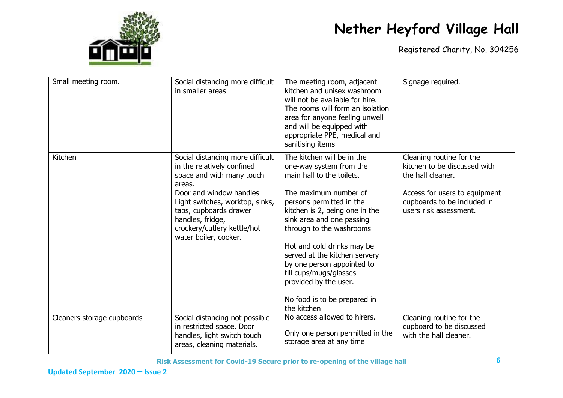

| Small meeting room.        | Social distancing more difficult<br>in smaller areas                                                                                                                                                                                                                      | The meeting room, adjacent<br>kitchen and unisex washroom<br>will not be available for hire.<br>The rooms will form an isolation<br>area for anyone feeling unwell<br>and will be equipped with<br>appropriate PPE, medical and<br>sanitising items                                                                                                                                                                               | Signage required.                                                                                                                                                       |
|----------------------------|---------------------------------------------------------------------------------------------------------------------------------------------------------------------------------------------------------------------------------------------------------------------------|-----------------------------------------------------------------------------------------------------------------------------------------------------------------------------------------------------------------------------------------------------------------------------------------------------------------------------------------------------------------------------------------------------------------------------------|-------------------------------------------------------------------------------------------------------------------------------------------------------------------------|
| Kitchen                    | Social distancing more difficult<br>in the relatively confined<br>space and with many touch<br>areas.<br>Door and window handles<br>Light switches, worktop, sinks,<br>taps, cupboards drawer<br>handles, fridge,<br>crockery/cutlery kettle/hot<br>water boiler, cooker. | The kitchen will be in the<br>one-way system from the<br>main hall to the toilets.<br>The maximum number of<br>persons permitted in the<br>kitchen is 2, being one in the<br>sink area and one passing<br>through to the washrooms<br>Hot and cold drinks may be<br>served at the kitchen servery<br>by one person appointed to<br>fill cups/mugs/glasses<br>provided by the user.<br>No food is to be prepared in<br>the kitchen | Cleaning routine for the<br>kitchen to be discussed with<br>the hall cleaner.<br>Access for users to equipment<br>cupboards to be included in<br>users risk assessment. |
| Cleaners storage cupboards | Social distancing not possible<br>in restricted space. Door<br>handles, light switch touch<br>areas, cleaning materials.                                                                                                                                                  | No access allowed to hirers.<br>Only one person permitted in the<br>storage area at any time                                                                                                                                                                                                                                                                                                                                      | Cleaning routine for the<br>cupboard to be discussed<br>with the hall cleaner.                                                                                          |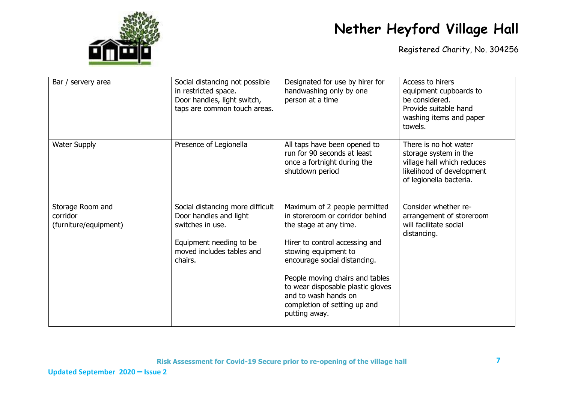

| Bar / servery area                                    | Social distancing not possible<br>in restricted space.<br>Door handles, light switch,<br>taps are common touch areas.                             | Designated for use by hirer for<br>handwashing only by one<br>person at a time                                                                                                                                                                                                                                                        | Access to hirers<br>equipment cupboards to<br>be considered.<br>Provide suitable hand<br>washing items and paper<br>towels.          |
|-------------------------------------------------------|---------------------------------------------------------------------------------------------------------------------------------------------------|---------------------------------------------------------------------------------------------------------------------------------------------------------------------------------------------------------------------------------------------------------------------------------------------------------------------------------------|--------------------------------------------------------------------------------------------------------------------------------------|
| <b>Water Supply</b>                                   | Presence of Legionella                                                                                                                            | All taps have been opened to<br>run for 90 seconds at least<br>once a fortnight during the<br>shutdown period                                                                                                                                                                                                                         | There is no hot water<br>storage system in the<br>village hall which reduces<br>likelihood of development<br>of legionella bacteria. |
| Storage Room and<br>corridor<br>(furniture/equipment) | Social distancing more difficult<br>Door handles and light<br>switches in use.<br>Equipment needing to be<br>moved includes tables and<br>chairs. | Maximum of 2 people permitted<br>in storeroom or corridor behind<br>the stage at any time.<br>Hirer to control accessing and<br>stowing equipment to<br>encourage social distancing.<br>People moving chairs and tables<br>to wear disposable plastic gloves<br>and to wash hands on<br>completion of setting up and<br>putting away. | Consider whether re-<br>arrangement of storeroom<br>will facilitate social<br>distancing.                                            |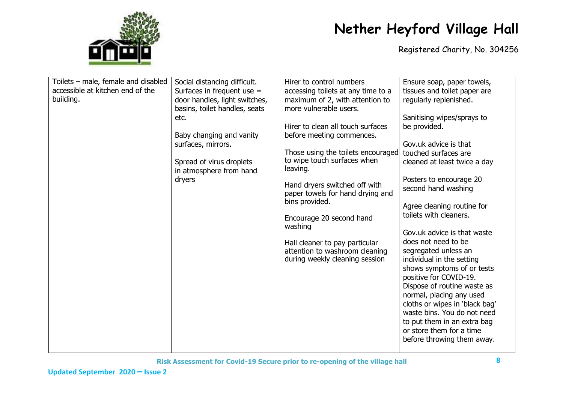

| Toilets - male, female and disabled<br>accessible at kitchen end of the<br>building. | Social distancing difficult.<br>Surfaces in frequent use =<br>door handles, light switches,<br>basins, toilet handles, seats<br>etc.<br>Baby changing and vanity<br>surfaces, mirrors.<br>Spread of virus droplets<br>in atmosphere from hand<br>dryers | Hirer to control numbers<br>accessing toilets at any time to a<br>maximum of 2, with attention to<br>more vulnerable users.<br>Hirer to clean all touch surfaces<br>before meeting commences.<br>Those using the toilets encouraged<br>to wipe touch surfaces when<br>leaving.<br>Hand dryers switched off with<br>paper towels for hand drying and<br>bins provided.<br>Encourage 20 second hand<br>washing<br>Hall cleaner to pay particular<br>attention to washroom cleaning<br>during weekly cleaning session | Ensure soap, paper towels,<br>tissues and toilet paper are<br>regularly replenished.<br>Sanitising wipes/sprays to<br>be provided.<br>Gov.uk advice is that<br>touched surfaces are<br>cleaned at least twice a day<br>Posters to encourage 20<br>second hand washing<br>Agree cleaning routine for<br>toilets with cleaners.<br>Gov.uk advice is that waste<br>does not need to be<br>segregated unless an<br>individual in the setting<br>shows symptoms of or tests<br>positive for COVID-19.<br>Dispose of routine waste as<br>normal, placing any used<br>cloths or wipes in 'black bag'<br>waste bins. You do not need<br>to put them in an extra bag<br>or store them for a time<br>before throwing them away. |
|--------------------------------------------------------------------------------------|---------------------------------------------------------------------------------------------------------------------------------------------------------------------------------------------------------------------------------------------------------|--------------------------------------------------------------------------------------------------------------------------------------------------------------------------------------------------------------------------------------------------------------------------------------------------------------------------------------------------------------------------------------------------------------------------------------------------------------------------------------------------------------------|-----------------------------------------------------------------------------------------------------------------------------------------------------------------------------------------------------------------------------------------------------------------------------------------------------------------------------------------------------------------------------------------------------------------------------------------------------------------------------------------------------------------------------------------------------------------------------------------------------------------------------------------------------------------------------------------------------------------------|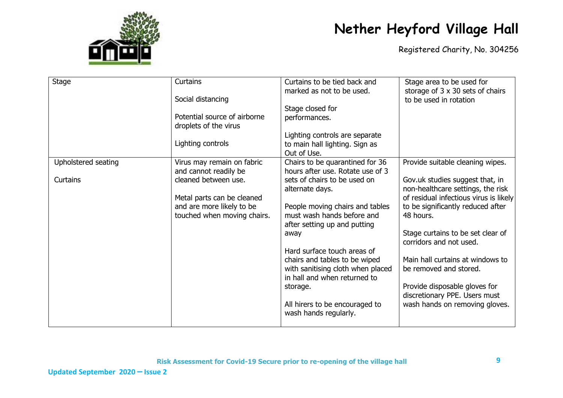

| <b>Stage</b>        | Curtains                                              | Curtains to be tied back and                            | Stage area to be used for              |
|---------------------|-------------------------------------------------------|---------------------------------------------------------|----------------------------------------|
|                     |                                                       | marked as not to be used.                               | storage of 3 x 30 sets of chairs       |
|                     | Social distancing                                     |                                                         | to be used in rotation                 |
|                     |                                                       | Stage closed for                                        |                                        |
|                     | Potential source of airborne<br>droplets of the virus | performances.                                           |                                        |
|                     |                                                       | Lighting controls are separate                          |                                        |
|                     | Lighting controls                                     | to main hall lighting. Sign as                          |                                        |
|                     |                                                       | Out of Use.                                             |                                        |
| Upholstered seating | Virus may remain on fabric                            | Chairs to be quarantined for 36                         | Provide suitable cleaning wipes.       |
|                     | and cannot readily be                                 | hours after use. Rotate use of 3                        |                                        |
| Curtains            | cleaned between use.                                  | sets of chairs to be used on                            | Gov.uk studies suggest that, in        |
|                     |                                                       | alternate days.                                         | non-healthcare settings, the risk      |
|                     | Metal parts can be cleaned                            |                                                         | of residual infectious virus is likely |
|                     | and are more likely to be                             | People moving chairs and tables                         | to be significantly reduced after      |
|                     | touched when moving chairs.                           | must wash hands before and                              | 48 hours.                              |
|                     |                                                       | after setting up and putting                            |                                        |
|                     |                                                       | away                                                    | Stage curtains to be set clear of      |
|                     |                                                       |                                                         | corridors and not used.                |
|                     |                                                       | Hard surface touch areas of                             |                                        |
|                     |                                                       | chairs and tables to be wiped                           | Main hall curtains at windows to       |
|                     |                                                       | with sanitising cloth when placed                       | be removed and stored.                 |
|                     |                                                       | in hall and when returned to                            |                                        |
|                     |                                                       | storage.                                                | Provide disposable gloves for          |
|                     |                                                       |                                                         | discretionary PPE. Users must          |
|                     |                                                       |                                                         |                                        |
|                     |                                                       | All hirers to be encouraged to<br>wash hands regularly. | wash hands on removing gloves.         |
|                     |                                                       |                                                         |                                        |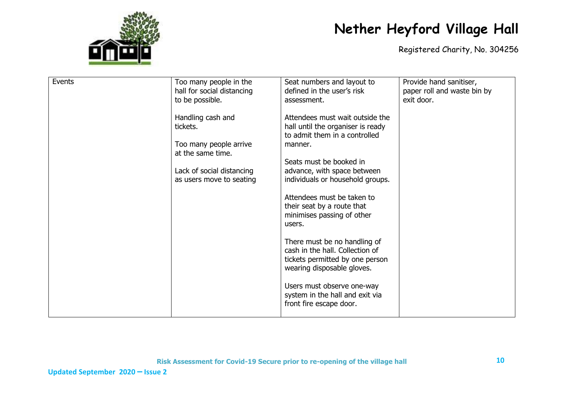

| Events | Too many people in the     | Seat numbers and layout to        | Provide hand sanitiser,     |
|--------|----------------------------|-----------------------------------|-----------------------------|
|        | hall for social distancing | defined in the user's risk        | paper roll and waste bin by |
|        | to be possible.            | assessment.                       | exit door.                  |
|        |                            |                                   |                             |
|        |                            |                                   |                             |
|        | Handling cash and          | Attendees must wait outside the   |                             |
|        | tickets.                   | hall until the organiser is ready |                             |
|        |                            | to admit them in a controlled     |                             |
|        | Too many people arrive     | manner.                           |                             |
|        | at the same time.          |                                   |                             |
|        |                            | Seats must be booked in           |                             |
|        |                            |                                   |                             |
|        | Lack of social distancing  | advance, with space between       |                             |
|        | as users move to seating   | individuals or household groups.  |                             |
|        |                            |                                   |                             |
|        |                            | Attendees must be taken to        |                             |
|        |                            | their seat by a route that        |                             |
|        |                            | minimises passing of other        |                             |
|        |                            | users.                            |                             |
|        |                            |                                   |                             |
|        |                            |                                   |                             |
|        |                            | There must be no handling of      |                             |
|        |                            | cash in the hall. Collection of   |                             |
|        |                            | tickets permitted by one person   |                             |
|        |                            | wearing disposable gloves.        |                             |
|        |                            |                                   |                             |
|        |                            | Users must observe one-way        |                             |
|        |                            | system in the hall and exit via   |                             |
|        |                            |                                   |                             |
|        |                            | front fire escape door.           |                             |
|        |                            |                                   |                             |